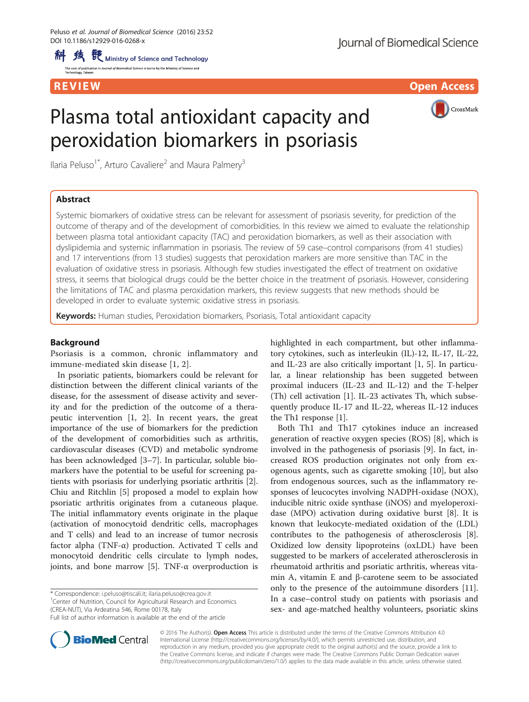R EVI EW Open Access and the contract of the contract of the contract of the contract of the contract of the c

# Plasma total antioxidant capacity and peroxidation biomarkers in psoriasis

Ilaria Peluso<sup>1\*</sup>, Arturo Cavaliere<sup>2</sup> and Maura Palmery<sup>3</sup>

## Abstract

CrossMark

Systemic biomarkers of oxidative stress can be relevant for assessment of psoriasis severity, for prediction of the outcome of therapy and of the development of comorbidities. In this review we aimed to evaluate the relationship between plasma total antioxidant capacity (TAC) and peroxidation biomarkers, as well as their association with dyslipidemia and systemic inflammation in psoriasis. The review of 59 case–control comparisons (from 41 studies) and 17 interventions (from 13 studies) suggests that peroxidation markers are more sensitive than TAC in the evaluation of oxidative stress in psoriasis. Although few studies investigated the effect of treatment on oxidative stress, it seems that biological drugs could be the better choice in the treatment of psoriasis. However, considering the limitations of TAC and plasma peroxidation markers, this review suggests that new methods should be developed in order to evaluate systemic oxidative stress in psoriasis.

Keywords: Human studies, Peroxidation biomarkers, Psoriasis, Total antioxidant capacity

## Background

Psoriasis is a common, chronic inflammatory and immune-mediated skin disease [\[1](#page-10-0), [2\]](#page-10-0).

In psoriatic patients, biomarkers could be relevant for distinction between the different clinical variants of the disease, for the assessment of disease activity and severity and for the prediction of the outcome of a therapeutic intervention [[1, 2\]](#page-10-0). In recent years, the great importance of the use of biomarkers for the prediction of the development of comorbidities such as arthritis, cardiovascular diseases (CVD) and metabolic syndrome has been acknowledged [[3](#page-10-0)–[7\]](#page-10-0). In particular, soluble biomarkers have the potential to be useful for screening patients with psoriasis for underlying psoriatic arthritis [\[2](#page-10-0)]. Chiu and Ritchlin [[5\]](#page-10-0) proposed a model to explain how psoriatic arthritis originates from a cutaneous plaque. The initial inflammatory events originate in the plaque (activation of monocytoid dendritic cells, macrophages and T cells) and lead to an increase of tumor necrosis factor alpha (TNF- $\alpha$ ) production. Activated T cells and monocytoid dendritic cells circulate to lymph nodes, joints, and bone marrow [[5\]](#page-10-0). TNF- $\alpha$  overproduction is

\* Correspondence: [i.peluso@tiscali.it](mailto:i.peluso@tiscali.it); [ilaria.peluso@crea.gov.it](mailto:ilaria.peluso@crea.gov.it) <sup>1</sup>

<sup>1</sup> Center of Nutrition, Council for Agricultural Research and Economics (CREA-NUT), Via Ardeatina 546, Rome 00178, Italy

highlighted in each compartment, but other inflammatory cytokines, such as interleukin (IL)-12, IL-17, IL-22, and IL-23 are also critically important [[1, 5](#page-10-0)]. In particular, a linear relationship has been suggeted between proximal inducers (IL-23 and IL-12) and the T-helper (Th) cell activation [\[1\]](#page-10-0). IL-23 activates Th, which subsequently produce IL-17 and IL-22, whereas IL-12 induces the Th1 response [[1](#page-10-0)].

Both Th1 and Th17 cytokines induce an increased generation of reactive oxygen species (ROS) [\[8](#page-10-0)], which is involved in the pathogenesis of psoriasis [\[9\]](#page-10-0). In fact, increased ROS production originates not only from exogenous agents, such as cigarette smoking [\[10\]](#page-10-0), but also from endogenous sources, such as the inflammatory responses of leucocytes involving NADPH-oxidase (NOX), inducible nitric oxide synthase (iNOS) and myeloperoxidase (MPO) activation during oxidative burst [\[8](#page-10-0)]. It is known that leukocyte-mediated oxidation of the (LDL) contributes to the pathogenesis of atherosclerosis [\[8](#page-10-0)]. Oxidized low density lipoproteins (oxLDL) have been suggested to be markers of accelerated atherosclerosis in rheumatoid arthritis and psoriatic arthritis, whereas vitamin A, vitamin E and β-carotene seem to be associated only to the presence of the autoimmune disorders [\[11](#page-10-0)]. In a case–control study on patients with psoriasis and sex- and age-matched healthy volunteers, psoriatic skins



© 2016 The Author(s). Open Access This article is distributed under the terms of the Creative Commons Attribution 4.0 International License [\(http://creativecommons.org/licenses/by/4.0/](http://creativecommons.org/licenses/by/4.0/)), which permits unrestricted use, distribution, and reproduction in any medium, provided you give appropriate credit to the original author(s) and the source, provide a link to the Creative Commons license, and indicate if changes were made. The Creative Commons Public Domain Dedication waiver [\(http://creativecommons.org/publicdomain/zero/1.0/](http://creativecommons.org/publicdomain/zero/1.0/)) applies to the data made available in this article, unless otherwise stated.

Full list of author information is available at the end of the article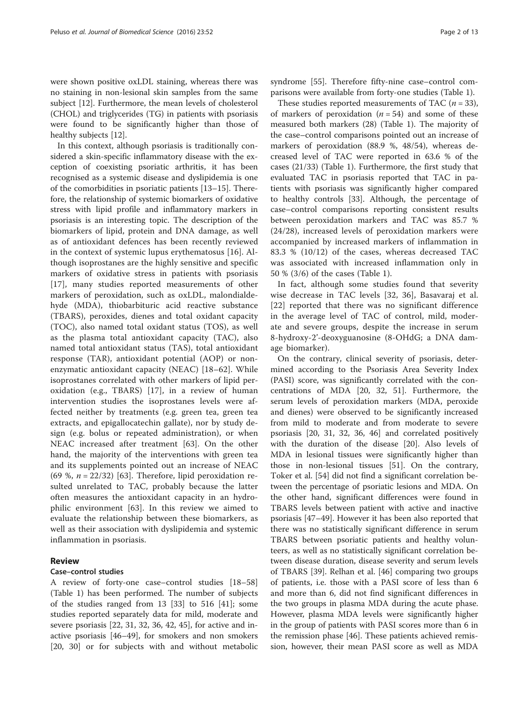were shown positive oxLDL staining, whereas there was no staining in non-lesional skin samples from the same subject [[12\]](#page-10-0). Furthermore, the mean levels of cholesterol (CHOL) and triglycerides (TG) in patients with psoriasis were found to be significantly higher than those of healthy subjects [[12\]](#page-10-0).

In this context, although psoriasis is traditionally considered a skin-specific inflammatory disease with the exception of coexisting psoriatic arthritis, it has been recognised as a systemic disease and dyslipidemia is one of the comorbidities in psoriatic patients [[13](#page-10-0)–[15\]](#page-10-0). Therefore, the relationship of systemic biomarkers of oxidative stress with lipid profile and inflammatory markers in psoriasis is an interesting topic. The description of the biomarkers of lipid, protein and DNA damage, as well as of antioxidant defences has been recently reviewed in the context of systemic lupus erythematosus [[16\]](#page-10-0). Although isoprostanes are the highly sensitive and specific markers of oxidative stress in patients with psoriasis [[17\]](#page-10-0), many studies reported measurements of other markers of peroxidation, such as oxLDL, malondialdehyde (MDA), thiobarbituric acid reactive substance (TBARS), peroxides, dienes and total oxidant capacity (TOC), also named total oxidant status (TOS), as well as the plasma total antioxidant capacity (TAC), also named total antioxidant status (TAS), total antioxidant response (TAR), antioxidant potential (AOP) or nonenzymatic antioxidant capacity (NEAC) [\[18](#page-10-0)–[62](#page-11-0)]. While isoprostanes correlated with other markers of lipid peroxidation (e.g., TBARS) [\[17](#page-10-0)], in a review of human intervention studies the isoprostanes levels were affected neither by treatments (e.g. green tea, green tea extracts, and epigallocatechin gallate), nor by study design (e.g. bolus or repeated administration), or when NEAC increased after treatment [\[63](#page-11-0)]. On the other hand, the majority of the interventions with green tea and its supplements pointed out an increase of NEAC (69 %,  $n = 22/32$ ) [[63\]](#page-11-0). Therefore, lipid peroxidation resulted unrelated to TAC, probably because the latter often measures the antioxidant capacity in an hydrophilic environment [[63](#page-11-0)]. In this review we aimed to evaluate the relationship between these biomarkers, as well as their association with dyslipidemia and systemic inflammation in psoriasis.

## Review

## Case–control studies

A review of forty-one case–control studies [[18](#page-10-0)–[58](#page-11-0)] (Table [1](#page-2-0)) has been performed. The number of subjects of the studies ranged from 13 [\[33](#page-11-0)] to 516 [\[41\]](#page-11-0); some studies reported separately data for mild, moderate and severe psoriasis [\[22](#page-10-0), [31](#page-11-0), [32](#page-11-0), [36](#page-11-0), [42](#page-11-0), [45](#page-11-0)], for active and inactive psoriasis [\[46](#page-11-0)–[49\]](#page-11-0), for smokers and non smokers [[20,](#page-10-0) [30\]](#page-11-0) or for subjects with and without metabolic syndrome [[55\]](#page-11-0). Therefore fifty-nine case–control comparisons were available from forty-one studies (Table [1](#page-2-0)).

These studies reported measurements of TAC  $(n = 33)$ , of markers of peroxidation  $(n = 54)$  and some of these measured both markers (28) (Table [1\)](#page-2-0). The majority of the case–control comparisons pointed out an increase of markers of peroxidation (88.9 %, 48/54), whereas decreased level of TAC were reported in 63.6 % of the cases (21/33) (Table [1](#page-2-0)). Furthermore, the first study that evaluated TAC in psoriasis reported that TAC in patients with psoriasis was significantly higher compared to healthy controls [[33](#page-11-0)]. Although, the percentage of case–control comparisons reporting consistent results between peroxidation markers and TAC was 85.7 % (24/28), increased levels of peroxidation markers were accompanied by increased markers of inflammation in 83.3 % (10/12) of the cases, whereas decreased TAC was associated with increased inflammation only in 50 % (3/6) of the cases (Table [1](#page-2-0)).

In fact, although some studies found that severity wise decrease in TAC levels [[32](#page-11-0), [36](#page-11-0)], Basavaraj et al. [[22](#page-10-0)] reported that there was no significant difference in the average level of TAC of control, mild, moderate and severe groups, despite the increase in serum 8-hydroxy-2'-deoxyguanosine (8-OHdG; a DNA damage biomarker).

On the contrary, clinical severity of psoriasis, determined according to the Psoriasis Area Severity Index (PASI) score, was significantly correlated with the concentrations of MDA [[20,](#page-10-0) [32, 51](#page-11-0)]. Furthermore, the serum levels of peroxidation markers (MDA, peroxide and dienes) were observed to be significantly increased from mild to moderate and from moderate to severe psoriasis [[20,](#page-10-0) [31, 32, 36, 46\]](#page-11-0) and correlated positively with the duration of the disease [[20](#page-10-0)]. Also levels of MDA in lesional tissues were significantly higher than those in non-lesional tissues [\[51\]](#page-11-0). On the contrary, Toker et al. [\[54\]](#page-11-0) did not find a significant correlation between the percentage of psoriatic lesions and MDA. On the other hand, significant differences were found in TBARS levels between patient with active and inactive psoriasis [[47](#page-11-0)–[49](#page-11-0)]. However it has been also reported that there was no statistically significant difference in serum TBARS between psoriatic patients and healthy volunteers, as well as no statistically significant correlation between disease duration, disease severity and serum levels of TBARS [[39\]](#page-11-0). Relhan et al. [\[46\]](#page-11-0) comparing two groups of patients, i.e. those with a PASI score of less than 6 and more than 6, did not find significant differences in the two groups in plasma MDA during the acute phase. However, plasma MDA levels were significantly higher in the group of patients with PASI scores more than 6 in the remission phase [[46\]](#page-11-0). These patients achieved remission, however, their mean PASI score as well as MDA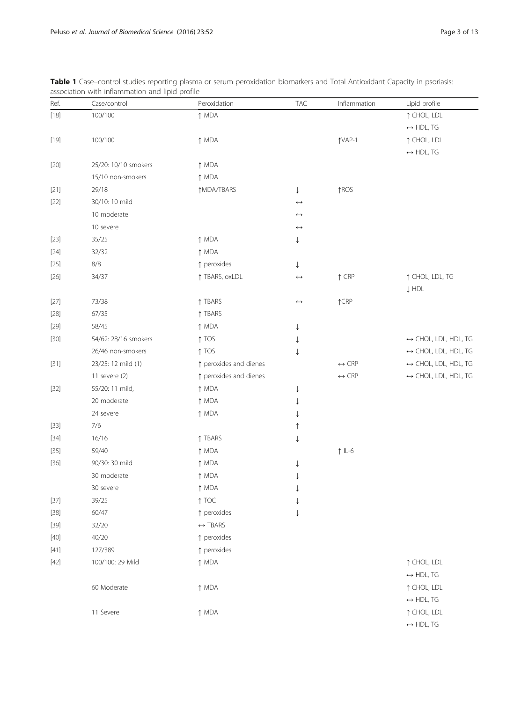| Ref.   | Case/control         | Peroxidation            | <b>TAC</b>            | Inflammation          | Lipid profile                        |
|--------|----------------------|-------------------------|-----------------------|-----------------------|--------------------------------------|
| $[18]$ | 100/100              | ↑ MDA                   |                       |                       | ↑ CHOL, LDL                          |
|        |                      |                         |                       |                       | $\leftrightarrow$ HDL, TG            |
| $[19]$ | 100/100              | ↑ MDA                   |                       | TVAP-1                | ↑ CHOL, LDL                          |
|        |                      |                         |                       |                       | $\leftrightarrow$ HDL, TG            |
| $[20]$ | 25/20: 10/10 smokers | ↑ MDA                   |                       |                       |                                      |
|        | 15/10 non-smokers    | ↑ MDA                   |                       |                       |                                      |
| $[21]$ | 29/18                | ↑MDA/TBARS              | ↓                     | ↑ROS                  |                                      |
| $[22]$ | 30/10: 10 mild       |                         | $\leftrightarrow$     |                       |                                      |
|        | 10 moderate          |                         | $\leftrightarrow$     |                       |                                      |
|        | 10 severe            |                         | $\longleftrightarrow$ |                       |                                      |
| $[23]$ | 35/25                | ↑ MDA                   | ↓                     |                       |                                      |
| $[24]$ | 32/32                | ↑ MDA                   |                       |                       |                                      |
| $[25]$ | $8/8$                | ↑ peroxides             | ↓                     |                       |                                      |
| $[26]$ | 34/37                | ↑ TBARS, oxLDL          | $\leftrightarrow$     | $\uparrow$ CRP        | ↑ CHOL, LDL, TG                      |
|        |                      |                         |                       |                       | $\downarrow$ HDL                     |
| $[27]$ | 73/38                | ↑ TBARS                 | $\longleftrightarrow$ | $\uparrow$ CRP        |                                      |
| $[28]$ | 67/35                | ↑ TBARS                 |                       |                       |                                      |
| $[29]$ | 58/45                | ↑ MDA                   | ↓                     |                       |                                      |
| $[30]$ | 54/62: 28/16 smokers | $\uparrow$ TOS          | ↓                     |                       | $\leftrightarrow$ CHOL, LDL, HDL, TG |
|        | 26/46 non-smokers    | $\uparrow$ TOS          | ↓                     |                       | $\leftrightarrow$ CHOL, LDL, HDL, TG |
| $[31]$ | 23/25: 12 mild (1)   | ↑ peroxides and dienes  |                       | $\leftrightarrow$ CRP | $\leftrightarrow$ CHOL, LDL, HDL, TG |
|        | 11 severe (2)        | ↑ peroxides and dienes  |                       | $\leftrightarrow$ CRP | $\leftrightarrow$ CHOL, LDL, HDL, TG |
| $[32]$ | 55/20: 11 mild,      | ↑ MDA                   | ↓                     |                       |                                      |
|        | 20 moderate          | ↑ MDA                   |                       |                       |                                      |
|        | 24 severe            | ↑ MDA                   |                       |                       |                                      |
| $[33]$ | 7/6                  |                         |                       |                       |                                      |
| $[34]$ | 16/16                | ↑ TBARS                 |                       |                       |                                      |
| $[35]$ | 59/40                | ↑ MDA                   |                       | $\uparrow$ IL-6       |                                      |
| $[36]$ | 90/30: 30 mild       | ↑ MDA                   | ↓                     |                       |                                      |
|        | 30 moderate          | ↑ MDA                   |                       |                       |                                      |
|        | 30 severe            | ↑ MDA                   |                       |                       |                                      |
| $[37]$ | 39/25                | $\uparrow$ TOC          | $\downarrow$          |                       |                                      |
| $[38]$ | 60/47                | ↑ peroxides             | ↓                     |                       |                                      |
| $[39]$ | 32/20                | $\leftrightarrow$ TBARS |                       |                       |                                      |
| $[40]$ | 40/20                | ↑ peroxides             |                       |                       |                                      |
| $[41]$ | 127/389              | ↑ peroxides             |                       |                       |                                      |
| $[42]$ | 100/100: 29 Mild     | ↑ MDA                   |                       |                       | ↑ CHOL, LDL                          |
|        |                      |                         |                       |                       | $\leftrightarrow$ HDL, TG            |
|        | 60 Moderate          | ↑ MDA                   |                       |                       | ↑ CHOL, LDL                          |
|        |                      |                         |                       |                       | $\leftrightarrow$ HDL, TG            |
|        | 11 Severe            | ↑ MDA                   |                       |                       | ↑ CHOL, LDL                          |
|        |                      |                         |                       |                       | $\leftrightarrow$ HDL, TG            |

<span id="page-2-0"></span>Table 1 Case–control studies reporting plasma or serum peroxidation biomarkers and Total Antioxidant Capacity in psoriasis: association with inflammation and lipid profile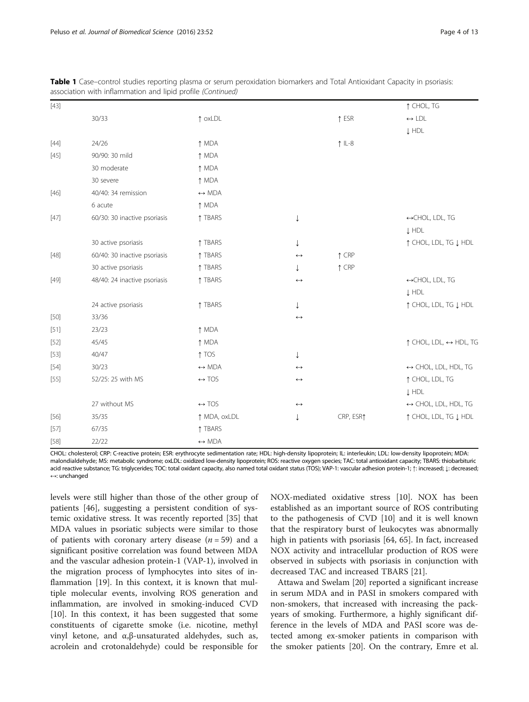| $[43]$ |                              |                       |                       |                 | ↑ CHOL, TG                                      |
|--------|------------------------------|-----------------------|-----------------------|-----------------|-------------------------------------------------|
|        | 30/33                        | $\uparrow$ oxLDL      |                       | $\uparrow$ ESR  | $\leftrightarrow$ LDL                           |
|        |                              |                       |                       |                 | $\downarrow$ HDL                                |
| $[44]$ | 24/26                        | ↑ MDA                 |                       | $\uparrow$ IL-8 |                                                 |
| $[45]$ | 90/90: 30 mild               | ↑ MDA                 |                       |                 |                                                 |
|        | 30 moderate                  | ↑ MDA                 |                       |                 |                                                 |
|        | 30 severe                    | ↑ MDA                 |                       |                 |                                                 |
| $[46]$ | 40/40: 34 remission          | $\leftrightarrow$ MDA |                       |                 |                                                 |
|        | 6 acute                      | ↑ MDA                 |                       |                 |                                                 |
| $[47]$ | 60/30: 30 inactive psoriasis | ↑ TBARS               | $\downarrow$          |                 | ←CHOL, LDL, TG                                  |
|        |                              |                       |                       |                 | $\downarrow$ HDL                                |
|        | 30 active psoriasis          | ↑ TBARS               | ↓                     |                 | ↑ CHOL, LDL, TG ↓ HDL                           |
| $[48]$ | 60/40: 30 inactive psoriasis | ↑ TBARS               | $\leftrightarrow$     | $\uparrow$ CRP  |                                                 |
|        | 30 active psoriasis          | ↑ TBARS               | ↓                     | $\uparrow$ CRP  |                                                 |
| $[49]$ | 48/40: 24 inactive psoriasis | ↑ TBARS               | $\leftrightarrow$     |                 | ↔CHOL, LDL, TG                                  |
|        |                              |                       |                       |                 | $\downarrow$ HDL                                |
|        | 24 active psoriasis          | ↑ TBARS               | ↓                     |                 | ↑ CHOL, LDL, TG ↓ HDL                           |
| $[50]$ | 33/36                        |                       | $\leftrightarrow$     |                 |                                                 |
| $[51]$ | 23/23                        | ↑ MDA                 |                       |                 |                                                 |
| $[52]$ | 45/45                        | ↑ MDA                 |                       |                 | $\uparrow$ CHOL, LDL, $\leftrightarrow$ HDL, TG |
| $[53]$ | 40/47                        | $\uparrow$ TOS        | ↓                     |                 |                                                 |
| $[54]$ | 30/23                        | $\leftrightarrow$ MDA | $\leftrightarrow$     |                 | $\leftrightarrow$ CHOL, LDL, HDL, TG            |
| $[55]$ | 52/25: 25 with MS            | $\leftrightarrow$ TOS | $\leftrightarrow$     |                 | ↑ CHOL, LDL, TG                                 |
|        |                              |                       |                       |                 | $\downarrow$ HDL                                |
|        | 27 without MS                | $\leftrightarrow$ TOS | $\longleftrightarrow$ |                 | $\leftrightarrow$ CHOL, LDL, HDL, TG            |
| $[56]$ | 35/35                        | ↑ MDA, oxLDL          | ↓                     | CRP, ESR1       | ↑ CHOL, LDL, TG ↓ HDL                           |
| [57]   | 67/35                        | ↑ TBARS               |                       |                 |                                                 |
| $[58]$ | 22/22                        | $\leftrightarrow$ MDA |                       |                 |                                                 |

Table 1 Case–control studies reporting plasma or serum peroxidation biomarkers and Total Antioxidant Capacity in psoriasis: association with inflammation and lipid profile (Continued)

CHOL: cholesterol; CRP: C-reactive protein; ESR: erythrocyte sedimentation rate; HDL: high-density lipoprotein; IL: interleukin; LDL: low-density lipoprotein; MDA: malondialdehyde; MS: metabolic syndrome; oxLDL: oxidized low-density lipoprotein; ROS: reactive oxygen species; TAC: total antioxidant capacity; TBARS: thiobarbituric acid reactive substance; TG: triglycerides; TOC: total oxidant capacity, also named total oxidant status (TOS); VAP-1: vascular adhesion protein-1: ↑: increased;  $\downarrow$ : decreased; ↔: unchanged

levels were still higher than those of the other group of patients [[46\]](#page-11-0), suggesting a persistent condition of systemic oxidative stress. It was recently reported [[35\]](#page-11-0) that MDA values in psoriatic subjects were similar to those of patients with coronary artery disease  $(n = 59)$  and a significant positive correlation was found between MDA and the vascular adhesion protein-1 (VAP-1), involved in the migration process of lymphocytes into sites of inflammation [[19\]](#page-10-0). In this context, it is known that multiple molecular events, involving ROS generation and inflammation, are involved in smoking-induced CVD [[10\]](#page-10-0). In this context, it has been suggested that some constituents of cigarette smoke (i.e. nicotine, methyl vinyl ketone, and α,β-unsaturated aldehydes, such as, acrolein and crotonaldehyde) could be responsible for NOX-mediated oxidative stress [\[10](#page-10-0)]. NOX has been established as an important source of ROS contributing to the pathogenesis of CVD [\[10](#page-10-0)] and it is well known that the respiratory burst of leukocytes was abnormally high in patients with psoriasis [[64, 65\]](#page-11-0). In fact, increased NOX activity and intracellular production of ROS were observed in subjects with psoriasis in conjunction with decreased TAC and increased TBARS [[21\]](#page-10-0).

Attawa and Swelam [[20\]](#page-10-0) reported a significant increase in serum MDA and in PASI in smokers compared with non-smokers, that increased with increasing the packyears of smoking. Furthermore, a highly significant difference in the levels of MDA and PASI score was detected among ex-smoker patients in comparison with the smoker patients [\[20](#page-10-0)]. On the contrary, Emre et al.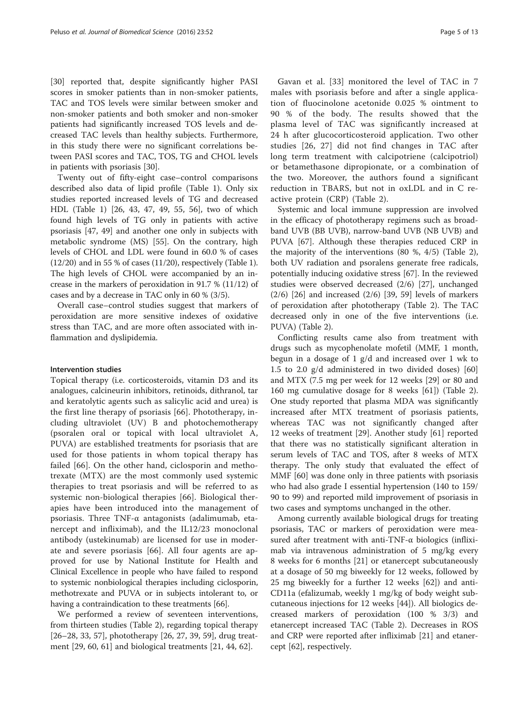[[30\]](#page-11-0) reported that, despite significantly higher PASI scores in smoker patients than in non-smoker patients, TAC and TOS levels were similar between smoker and non-smoker patients and both smoker and non-smoker patients had significantly increased TOS levels and decreased TAC levels than healthy subjects. Furthermore, in this study there were no significant correlations between PASI scores and TAC, TOS, TG and CHOL levels in patients with psoriasis [[30\]](#page-11-0).

Twenty out of fifty-eight case–control comparisons described also data of lipid profile (Table [1\)](#page-2-0). Only six studies reported increased levels of TG and decreased HDL (Table [1](#page-2-0)) [\[26](#page-10-0), [43](#page-11-0), [47](#page-11-0), [49, 55, 56\]](#page-11-0), two of which found high levels of TG only in patients with active psoriasis [[47](#page-11-0), [49](#page-11-0)] and another one only in subjects with metabolic syndrome (MS) [\[55](#page-11-0)]. On the contrary, high levels of CHOL and LDL were found in 60.0 % of cases  $(12/20)$  and in 55 % of cases  $(11/20)$ , respectively (Table [1](#page-2-0)). The high levels of CHOL were accompanied by an increase in the markers of peroxidation in 91.7 % (11/12) of cases and by a decrease in TAC only in 60 % (3/5).

Overall case–control studies suggest that markers of peroxidation are more sensitive indexes of oxidative stress than TAC, and are more often associated with inflammation and dyslipidemia.

### Intervention studies

Topical therapy (i.e. corticosteroids, vitamin D3 and its analogues, calcineurin inhibitors, retinoids, dithranol, tar and keratolytic agents such as salicylic acid and urea) is the first line therapy of psoriasis [[66\]](#page-11-0). Phototherapy, including ultraviolet (UV) B and photochemotherapy (psoralen oral or topical with local ultraviolet A, PUVA) are established treatments for psoriasis that are used for those patients in whom topical therapy has failed [\[66](#page-11-0)]. On the other hand, ciclosporin and methotrexate (MTX) are the most commonly used systemic therapies to treat psoriasis and will be referred to as systemic non-biological therapies [[66\]](#page-11-0). Biological therapies have been introduced into the management of psoriasis. Three TNF-α antagonists (adalimumab, etanercept and infliximab), and the IL12/23 monoclonal antibody (ustekinumab) are licensed for use in moderate and severe psoriasis [\[66\]](#page-11-0). All four agents are approved for use by National Institute for Health and Clinical Excellence in people who have failed to respond to systemic nonbiological therapies including ciclosporin, methotrexate and PUVA or in subjects intolerant to, or having a contraindication to these treatments [\[66](#page-11-0)].

We performed a review of seventeen interventions, from thirteen studies (Table [2](#page-5-0)), regarding topical therapy [[26](#page-10-0)–[28](#page-10-0), [33](#page-11-0), [57](#page-11-0)], phototherapy [[26, 27,](#page-10-0) [39](#page-11-0), [59](#page-11-0)], drug treatment [[29, 60, 61\]](#page-11-0) and biological treatments [[21,](#page-10-0) [44](#page-11-0), [62](#page-11-0)].

Gavan et al. [[33](#page-11-0)] monitored the level of TAC in 7 males with psoriasis before and after a single application of fluocinolone acetonide 0.025 % ointment to 90 % of the body. The results showed that the plasma level of TAC was significantly increased at 24 h after glucocorticosteroid application. Two other studies [[26](#page-10-0), [27](#page-10-0)] did not find changes in TAC after long term treatment with calcipotriene (calcipotriol) or betamethasone dipropionate, or a combination of the two. Moreover, the authors found a significant reduction in TBARS, but not in oxLDL and in C reactive protein (CRP) (Table [2\)](#page-5-0).

Systemic and local immune suppression are involved in the efficacy of phototherapy regimens such as broadband UVB (BB UVB), narrow-band UVB (NB UVB) and PUVA [[67](#page-11-0)]. Although these therapies reduced CRP in the majority of the interventions (80 %, 4/5) (Table [2](#page-5-0)), both UV radiation and psoralens generate free radicals, potentially inducing oxidative stress [\[67\]](#page-11-0). In the reviewed studies were observed decreased (2/6) [\[27](#page-10-0)], unchanged (2/6) [\[26](#page-10-0)] and increased (2/6) [\[39](#page-11-0), [59\]](#page-11-0) levels of markers of peroxidation after phototherapy (Table [2](#page-5-0)). The TAC decreased only in one of the five interventions (i.e. PUVA) (Table [2\)](#page-5-0).

Conflicting results came also from treatment with drugs such as mycophenolate mofetil (MMF, 1 month, begun in a dosage of 1 g/d and increased over 1 wk to 1.5 to 2.0 g/d administered in two divided doses) [[60](#page-11-0)] and MTX (7.5 mg per week for 12 weeks [\[29](#page-11-0)] or 80 and 160 mg cumulative dosage for 8 weeks [\[61](#page-11-0)]) (Table [2](#page-5-0)). One study reported that plasma MDA was significantly increased after MTX treatment of psoriasis patients, whereas TAC was not significantly changed after 12 weeks of treatment [\[29](#page-11-0)]. Another study [\[61](#page-11-0)] reported that there was no statistically significant alteration in serum levels of TAC and TOS, after 8 weeks of MTX therapy. The only study that evaluated the effect of MMF [\[60](#page-11-0)] was done only in three patients with psoriasis who had also grade I essential hypertension (140 to 159/ 90 to 99) and reported mild improvement of psoriasis in two cases and symptoms unchanged in the other.

Among currently available biological drugs for treating psoriasis, TAC or markers of peroxidation were measured after treatment with anti-TNF- $\alpha$  biologics (infliximab via intravenous administration of 5 mg/kg every 8 weeks for 6 months [\[21](#page-10-0)] or etanercept subcutaneously at a dosage of 50 mg biweekly for 12 weeks, followed by 25 mg biweekly for a further 12 weeks [[62](#page-11-0)]) and anti-CD11a (efalizumab, weekly 1 mg/kg of body weight subcutaneous injections for 12 weeks [[44\]](#page-11-0)). All biologics decreased markers of peroxidation (100 % 3/3) and etanercept increased TAC (Table [2\)](#page-5-0). Decreases in ROS and CRP were reported after infliximab [[21\]](#page-10-0) and etanercept [\[62\]](#page-11-0), respectively.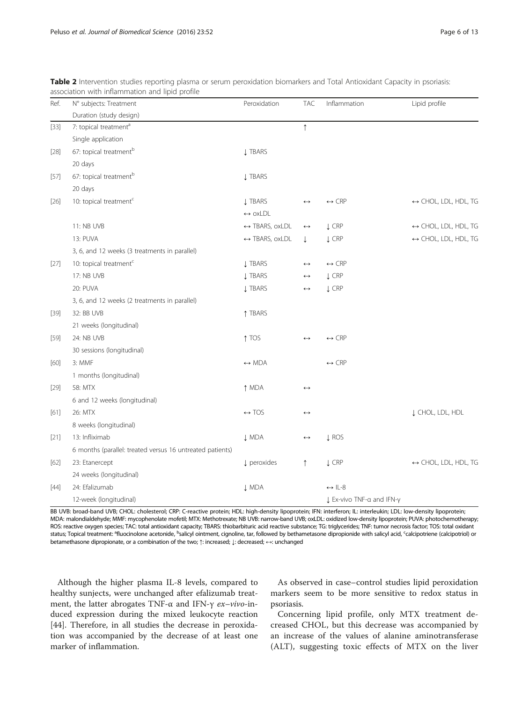| Ref.   | N° subjects: Treatment                                    | Peroxidation                   | <b>TAC</b>            | Inflammation              | Lipid profile                        |
|--------|-----------------------------------------------------------|--------------------------------|-----------------------|---------------------------|--------------------------------------|
|        | Duration (study design)                                   |                                |                       |                           |                                      |
| $[33]$ | 7: topical treatment <sup>a</sup>                         |                                | $\uparrow$            |                           |                                      |
|        | Single application                                        |                                |                       |                           |                                      |
| $[28]$ | 67: topical treatment <sup>b</sup>                        | <b>J TBARS</b>                 |                       |                           |                                      |
|        | 20 days                                                   |                                |                       |                           |                                      |
| [57]   | 67: topical treatment <sup>b</sup>                        | <b>J TBARS</b>                 |                       |                           |                                      |
|        | 20 days                                                   |                                |                       |                           |                                      |
| $[26]$ | 10: topical treatment <sup>c</sup>                        | <b>J TBARS</b>                 | $\leftrightarrow$     | $\leftrightarrow$ CRP     | $\leftrightarrow$ CHOL, LDL, HDL, TG |
|        |                                                           | $\leftrightarrow$ oxLDL        |                       |                           |                                      |
|        | 11: NB UVB                                                | $\leftrightarrow$ TBARS, oxLDL | $\longleftrightarrow$ | $\downarrow$ CRP          | $\leftrightarrow$ CHOL, LDL, HDL, TG |
|        | 13: PUVA                                                  | ← TBARS, oxLDL                 | ↓                     | $\downarrow$ CRP          | $\leftrightarrow$ CHOL, LDL, HDL, TG |
|        | 3, 6, and 12 weeks (3 treatments in parallel)             |                                |                       |                           |                                      |
| [27]   | 10: topical treatment <sup>c</sup>                        | <b>J TBARS</b>                 | $\leftrightarrow$     | $\leftrightarrow$ CRP     |                                      |
|        | 17: NB UVB                                                | <b>Į TBARS</b>                 | $\leftrightarrow$     | $\downarrow$ CRP          |                                      |
|        | 20: PUVA                                                  | <b>Į TBARS</b>                 | $\leftrightarrow$     | $\downarrow$ CRP          |                                      |
|        | 3, 6, and 12 weeks (2 treatments in parallel)             |                                |                       |                           |                                      |
| $[39]$ | 32: BB UVB                                                | ↑ TBARS                        |                       |                           |                                      |
|        | 21 weeks (longitudinal)                                   |                                |                       |                           |                                      |
| $[59]$ | 24: NB UVB                                                | ↑ TOS                          | $\leftrightarrow$     | $\leftrightarrow$ CRP     |                                      |
|        | 30 sessions (longitudinal)                                |                                |                       |                           |                                      |
| [60]   | 3: MMF                                                    | $\leftrightarrow$ MDA          |                       | $\leftrightarrow$ CRP     |                                      |
|        | 1 months (longitudinal)                                   |                                |                       |                           |                                      |
| $[29]$ | 58: MTX                                                   | ↑ MDA                          | $\leftrightarrow$     |                           |                                      |
|        | 6 and 12 weeks (longitudinal)                             |                                |                       |                           |                                      |
| $[61]$ | 26: MTX                                                   | $\leftrightarrow$ TOS          | $\leftrightarrow$     |                           | ↓ CHOL, LDL, HDL                     |
|        | 8 weeks (longitudinal)                                    |                                |                       |                           |                                      |
| $[21]$ | 13: Infliximab                                            | <b>J MDA</b>                   | $\leftrightarrow$     | <b>L</b> ROS              |                                      |
|        | 6 months (parallel: treated versus 16 untreated patients) |                                |                       |                           |                                      |
| $[62]$ | 23: Etanercept                                            | <b>L</b> peroxides             | ↑                     | <b>J CRP</b>              | $\leftrightarrow$ CHOL, LDL, HDL, TG |
|        | 24 weeks (longitudinal)                                   |                                |                       |                           |                                      |
| $[44]$ | 24: Efalizumab                                            | <b>J</b> MDA                   |                       | $\leftrightarrow$ IL-8    |                                      |
|        | 12-week (longitudinal)                                    |                                |                       | L Ex-vivo TNF-α and IFN-γ |                                      |

<span id="page-5-0"></span>Table 2 Intervention studies reporting plasma or serum peroxidation biomarkers and Total Antioxidant Capacity in psoriasis: association with inflammation and lipid profile

BB UVB: broad-band UVB; CHOL: cholesterol; CRP: C-reactive protein; HDL: high-density lipoprotein; IFN: interferon; IL: interleukin; LDL: low-density lipoprotein; MDA: malondialdehyde; MMF: mycophenolate mofetil; MTX: Methotrexate; NB UVB: narrow-band UVB; oxLDL: oxidized low-density lipoprotein; PUVA: photochemotherapy; ROS: reactive oxygen species; TAC: total antioxidant capacity; TBARS: thiobarbituric acid reactive substance; TG: triglycerides; TNF: tumor necrosis factor; TOS: total oxidant status; Topical treatment: <sup>a</sup>fluocinolone acetonide, <sup>b</sup>salicyl ointment, cignoline, tar, followed by bethametasone dipropionide with salicyl acid, <sup>c</sup>calcipotriene (calcipotriol) or betamethasone dipropionate, or a combination of the two; ↑: increased; ↓: decreased; ↔: unchanged

Although the higher plasma IL-8 levels, compared to healthy sunjects, were unchanged after efalizumab treatment, the latter abrogates TNF-α and IFN-γ ex–vivo-induced expression during the mixed leukocyte reaction [[44\]](#page-11-0). Therefore, in all studies the decrease in peroxidation was accompanied by the decrease of at least one marker of inflammation.

As observed in case–control studies lipid peroxidation markers seem to be more sensitive to redox status in psoriasis.

Concerning lipid profile, only MTX treatment decreased CHOL, but this decrease was accompanied by an increase of the values of alanine aminotransferase (ALT), suggesting toxic effects of MTX on the liver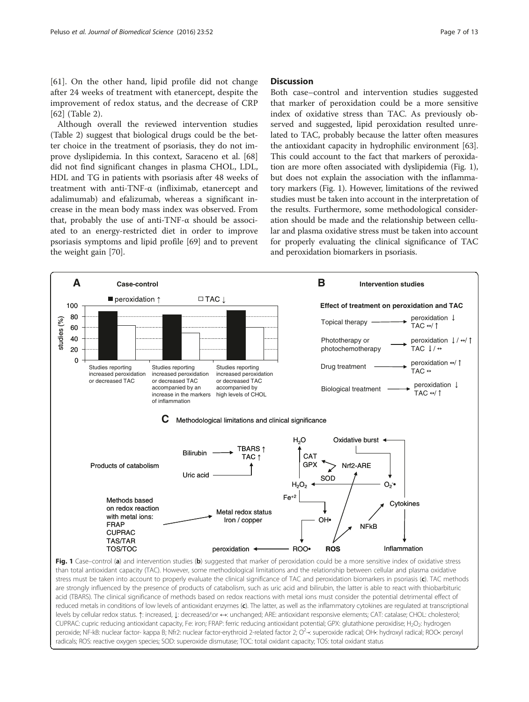<span id="page-6-0"></span>[[61\]](#page-11-0). On the other hand, lipid profile did not change after 24 weeks of treatment with etanercept, despite the improvement of redox status, and the decrease of CRP [[62\]](#page-11-0) (Table [2\)](#page-5-0).

Although overall the reviewed intervention studies (Table [2](#page-5-0)) suggest that biological drugs could be the better choice in the treatment of psoriasis, they do not improve dyslipidemia. In this context, Saraceno et al. [[68](#page-11-0)] did not find significant changes in plasma CHOL, LDL, HDL and TG in patients with psoriasis after 48 weeks of treatment with anti-TNF-α (infliximab, etanercept and adalimumab) and efalizumab, whereas a significant increase in the mean body mass index was observed. From that, probably the use of anti-TNF- $\alpha$  should be associated to an energy-restricted diet in order to improve psoriasis symptoms and lipid profile [\[69\]](#page-11-0) and to prevent the weight gain [[70](#page-11-0)].

## **Discussion**

Both case–control and intervention studies suggested that marker of peroxidation could be a more sensitive index of oxidative stress than TAC. As previously observed and suggested, lipid peroxidation resulted unrelated to TAC, probably because the latter often measures the antioxidant capacity in hydrophilic environment [[63](#page-11-0)]. This could account to the fact that markers of peroxidation are more often associated with dyslipidemia (Fig. 1), but does not explain the association with the inflammatory markers (Fig. 1). However, limitations of the reviwed studies must be taken into account in the interpretation of the results. Furthermore, some methodological consideration should be made and the relationship between cellular and plasma oxidative stress must be taken into account for properly evaluating the clinical significance of TAC and peroxidation biomarkers in psoriasis.



are strongly influenced by the presence of products of catabolism, such as uric acid and bilirubin, the latter is able to react with thiobarbituric acid (TBARS). The clinical significance of methods based on redox reactions with metal ions must consider the potential detrimental effect of reduced metals in conditions of low levels of antioxidant enzymes (c). The latter, as well as the inflammatory cytokines are regulated at transcriptional levels by cellular redox status. ↑: increased, ↓: decreased/:or ↔: unchanged; ARE: antioxidant responsive elements; CAT: catalase; CHOL: cholesterol; CUPRAC: cupric reducing antioxidant capacity, Fe: iron; FRAP: ferric reducing antioxidant potential; GPX: glutathione peroxidise; H<sub>2</sub>O<sub>2</sub>: hydrogen peroxide; NF-kB: nuclear factor- kappa B; Nfr2: nuclear factor-erythroid 2-related factor 2; O<sup>2</sup>--: superoxide radical; OH•: hydroxyl radical; ROO•: peroxyl radicals; ROS: reactive oxygen species; SOD: superoxide dismutase; TOC: total oxidant capacity; TOS: total oxidant status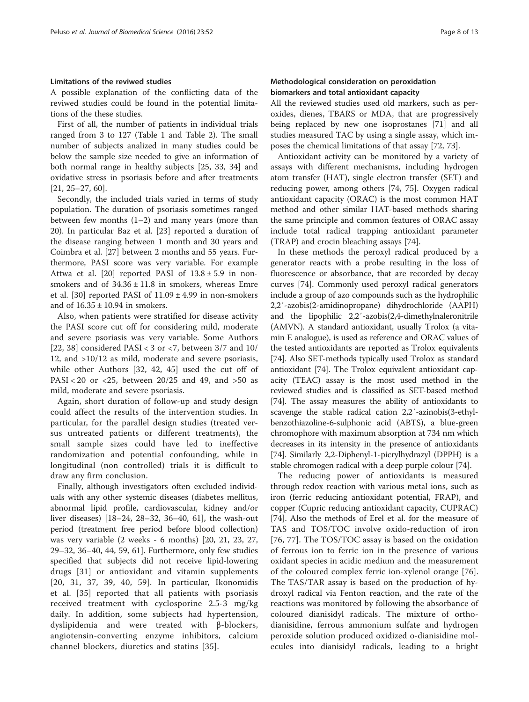## Limitations of the reviwed studies

A possible explanation of the conflicting data of the reviwed studies could be found in the potential limitations of the these studies.

First of all, the number of patients in individual trials ranged from 3 to 127 (Table [1](#page-2-0) and Table [2\)](#page-5-0). The small number of subjects analized in many studies could be below the sample size needed to give an information of both normal range in healthy subjects [[25,](#page-10-0) [33, 34](#page-11-0)] and oxidative stress in psoriasis before and after treatments [[21, 25](#page-10-0)–[27](#page-10-0), [60](#page-11-0)].

Secondly, the included trials varied in terms of study population. The duration of psoriasis sometimes ranged between few months  $(1-2)$  and many years (more than 20). In particular Baz et al. [\[23\]](#page-10-0) reported a duration of the disease ranging between 1 month and 30 years and Coimbra et al. [\[27](#page-10-0)] between 2 months and 55 years. Furthermore, PASI score was very variable. For example Attwa et al. [[20\]](#page-10-0) reported PASI of  $13.8 \pm 5.9$  in nonsmokers and of  $34.36 \pm 11.8$  in smokers, whereas Emre et al. [[30](#page-11-0)] reported PASI of  $11.09 \pm 4.99$  in non-smokers and of  $16.35 \pm 10.94$  in smokers.

Also, when patients were stratified for disease activity the PASI score cut off for considering mild, moderate and severe psoriasis was very variable. Some Authors [[22,](#page-10-0) [38](#page-11-0)] considered PASI < 3 or <7, between  $3/7$  and  $10/$ 12, and >10/12 as mild, moderate and severe psoriasis, while other Authors [\[32](#page-11-0), [42](#page-11-0), [45\]](#page-11-0) used the cut off of  $PASI < 20$  or  $\langle 25, \text{ between } 20/25 \text{ and } 49, \text{ and } >50 \text{ as }$ mild, moderate and severe psoriasis.

Again, short duration of follow-up and study design could affect the results of the intervention studies. In particular, for the parallel design studies (treated versus untreated patients or different treatments), the small sample sizes could have led to ineffective randomization and potential confounding, while in longitudinal (non controlled) trials it is difficult to draw any firm conclusion.

Finally, although investigators often excluded individuals with any other systemic diseases (diabetes mellitus, abnormal lipid profile, cardiovascular, kidney and/or liver diseases) [\[18](#page-10-0)–[24, 28](#page-10-0)–[32, 36](#page-11-0)–[40, 61\]](#page-11-0), the wash-out period (treatment free period before blood collection) was very variable (2 weeks - 6 months) [[20, 21](#page-10-0), [23](#page-10-0), [27](#page-10-0), [29](#page-11-0)–[32](#page-11-0), [36](#page-11-0)–[40](#page-11-0), [44](#page-11-0), [59](#page-11-0), [61\]](#page-11-0). Furthermore, only few studies specified that subjects did not receive lipid-lowering drugs [\[31\]](#page-11-0) or antioxidant and vitamin supplements [[20](#page-10-0), [31](#page-11-0), [37](#page-11-0), [39](#page-11-0), [40](#page-11-0), [59](#page-11-0)]. In particular, Ikonomidis et al. [\[35\]](#page-11-0) reported that all patients with psoriasis received treatment with cyclosporine 2.5-3 mg/kg daily. In addition, some subjects had hypertension, dyslipidemia and were treated with β-blockers, angiotensin-converting enzyme inhibitors, calcium channel blockers, diuretics and statins [[35](#page-11-0)].

## Methodological consideration on peroxidation biomarkers and total antioxidant capacity

All the reviewed studies used old markers, such as peroxides, dienes, TBARS or MDA, that are progressively being replaced by new one isoprostanes [[71\]](#page-11-0) and all studies measured TAC by using a single assay, which imposes the chemical limitations of that assay [\[72](#page-11-0), [73\]](#page-11-0).

Antioxidant activity can be monitored by a variety of assays with different mechanisms, including hydrogen atom transfer (HAT), single electron transfer (SET) and reducing power, among others [\[74](#page-11-0), [75](#page-12-0)]. Oxygen radical antioxidant capacity (ORAC) is the most common HAT method and other similar HAT-based methods sharing the same principle and common features of ORAC assay include total radical trapping antioxidant parameter (TRAP) and crocin bleaching assays [\[74](#page-11-0)].

In these methods the peroxyl radical produced by a generator reacts with a probe resulting in the loss of fluorescence or absorbance, that are recorded by decay curves [\[74](#page-11-0)]. Commonly used peroxyl radical generators include a group of azo compounds such as the hydrophilic 2,2′-azobis(2-amidinopropane) dihydrochloride (AAPH) and the lipophilic 2,2′-azobis(2,4-dimethylnaleronitrile (AMVN). A standard antioxidant, usually Trolox (a vitamin E analogue), is used as reference and ORAC values of the tested antioxidants are reported as Trolox equivalents [[74](#page-11-0)]. Also SET-methods typically used Trolox as standard antioxidant [\[74\]](#page-11-0). The Trolox equivalent antioxidant capacity (TEAC) assay is the most used method in the reviewed studies and is classified as SET-based method [[74](#page-11-0)]. The assay measures the ability of antioxidants to scavenge the stable radical cation 2,2′-azinobis(3-ethylbenzothiazoline-6-sulphonic acid (ABTS), a blue-green chromophore with maximum absorption at 734 nm which decreases in its intensity in the presence of antioxidants [[74](#page-11-0)]. Similarly 2,2-Diphenyl-1-picrylhydrazyl (DPPH) is a stable chromogen radical with a deep purple colour [\[74\]](#page-11-0).

The reducing power of antioxidants is measured through redox reaction with various metal ions, such as iron (ferric reducing antioxidant potential, FRAP), and copper (Cupric reducing antioxidant capacity, CUPRAC) [[74\]](#page-11-0). Also the methods of Erel et al. for the measure of TAS and TOS/TOC involve oxido-reduction of iron [[76](#page-12-0), [77](#page-12-0)]. The TOS/TOC assay is based on the oxidation of ferrous ion to ferric ion in the presence of various oxidant species in acidic medium and the measurement of the coloured complex ferric ion-xylenol orange [\[76](#page-12-0)]. The TAS/TAR assay is based on the production of hydroxyl radical via Fenton reaction, and the rate of the reactions was monitored by following the absorbance of coloured dianisidyl radicals. The mixture of orthodianisidine, ferrous ammonium sulfate and hydrogen peroxide solution produced oxidized o-dianisidine molecules into dianisidyl radicals, leading to a bright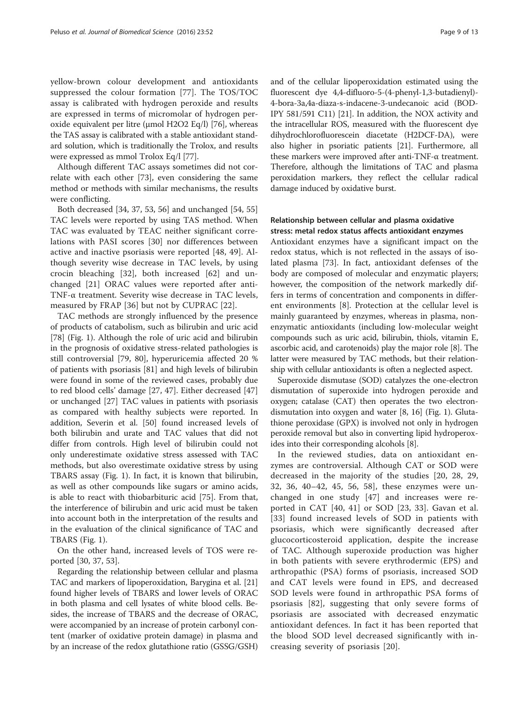yellow-brown colour development and antioxidants suppressed the colour formation [[77\]](#page-12-0). The TOS/TOC assay is calibrated with hydrogen peroxide and results are expressed in terms of micromolar of hydrogen peroxide equivalent per litre (μmol H2O2 Eq/l) [[76](#page-12-0)], whereas the TAS assay is calibrated with a stable antioxidant standard solution, which is traditionally the Trolox, and results were expressed as mmol Trolox Eq/l [\[77\]](#page-12-0).

Although different TAC assays sometimes did not correlate with each other [\[73\]](#page-11-0), even considering the same method or methods with similar mechanisms, the results were conflicting.

Both decreased [\[34](#page-11-0), [37, 53, 56\]](#page-11-0) and unchanged [[54](#page-11-0), [55](#page-11-0)] TAC levels were reported by using TAS method. When TAC was evaluated by TEAC neither significant correlations with PASI scores [\[30](#page-11-0)] nor differences between active and inactive psoriasis were reported [[48, 49](#page-11-0)]. Although severity wise decrease in TAC levels, by using crocin bleaching [[32\]](#page-11-0), both increased [[62\]](#page-11-0) and unchanged [[21\]](#page-10-0) ORAC values were reported after anti-TNF-α treatment. Severity wise decrease in TAC levels, measured by FRAP [[36\]](#page-11-0) but not by CUPRAC [\[22\]](#page-10-0).

TAC methods are strongly influenced by the presence of products of catabolism, such as bilirubin and uric acid [[78\]](#page-12-0) (Fig. [1\)](#page-6-0). Although the role of uric acid and bilirubin in the prognosis of oxidative stress-related pathologies is still controversial [[79](#page-12-0), [80\]](#page-12-0), hyperuricemia affected 20 % of patients with psoriasis [[81](#page-12-0)] and high levels of bilirubin were found in some of the reviewed cases, probably due to red blood cells' damage [[27](#page-10-0), [47](#page-11-0)]. Either decreased [[47](#page-11-0)] or unchanged [[27\]](#page-10-0) TAC values in patients with psoriasis as compared with healthy subjects were reported. In addition, Severin et al. [[50\]](#page-11-0) found increased levels of both bilirubin and urate and TAC values that did not differ from controls. High level of bilirubin could not only underestimate oxidative stress assessed with TAC methods, but also overestimate oxidative stress by using TBARS assay (Fig. [1](#page-6-0)). In fact, it is known that bilirubin, as well as other compounds like sugars or amino acids, is able to react with thiobarbituric acid [[75](#page-12-0)]. From that, the interference of bilirubin and uric acid must be taken into account both in the interpretation of the results and in the evaluation of the clinical significance of TAC and TBARS (Fig. [1\)](#page-6-0).

On the other hand, increased levels of TOS were reported [[30](#page-11-0), [37](#page-11-0), [53](#page-11-0)].

Regarding the relationship between cellular and plasma TAC and markers of lipoperoxidation, Barygina et al. [[21](#page-10-0)] found higher levels of TBARS and lower levels of ORAC in both plasma and cell lysates of white blood cells. Besides, the increase of TBARS and the decrease of ORAC, were accompanied by an increase of protein carbonyl content (marker of oxidative protein damage) in plasma and by an increase of the redox glutathione ratio (GSSG/GSH) and of the cellular lipoperoxidation estimated using the fluorescent dye 4,4-difluoro-5-(4-phenyl-1,3-butadienyl)- 4-bora-3a,4a-diaza-s-indacene-3-undecanoic acid (BOD-IPY 581/591 C11) [[21](#page-10-0)]. In addition, the NOX activity and the intracellular ROS, measured with the fluorescent dye dihydrochlorofluorescein diacetate (H2DCF-DA), were also higher in psoriatic patients [\[21\]](#page-10-0). Furthermore, all these markers were improved after anti-TNF-α treatment. Therefore, although the limitations of TAC and plasma peroxidation markers, they reflect the cellular radical damage induced by oxidative burst.

## Relationship between cellular and plasma oxidative stress: metal redox status affects antioxidant enzymes

Antioxidant enzymes have a significant impact on the redox status, which is not reflected in the assays of isolated plasma [\[73](#page-11-0)]. In fact, antioxidant defenses of the body are composed of molecular and enzymatic players; however, the composition of the network markedly differs in terms of concentration and components in different environments [\[8](#page-10-0)]. Protection at the cellular level is mainly guaranteed by enzymes, whereas in plasma, nonenzymatic antioxidants (including low-molecular weight compounds such as uric acid, bilirubin, thiols, vitamin E, ascorbic acid, and carotenoids) play the major role [\[8\]](#page-10-0). The latter were measured by TAC methods, but their relationship with cellular antioxidants is often a neglected aspect.

Superoxide dismutase (SOD) catalyzes the one-electron dismutation of superoxide into hydrogen peroxide and oxygen; catalase (CAT) then operates the two electrondismutation into oxygen and water [\[8, 16\]](#page-10-0) (Fig. [1](#page-6-0)). Glutathione peroxidase (GPX) is involved not only in hydrogen peroxide removal but also in converting lipid hydroperoxides into their corresponding alcohols [\[8](#page-10-0)].

In the reviewed studies, data on antioxidant enzymes are controversial. Although CAT or SOD were decreased in the majority of the studies [[20, 28](#page-10-0), [29](#page-11-0), [32, 36, 40](#page-11-0)–[42](#page-11-0), [45](#page-11-0), [56, 58\]](#page-11-0), these enzymes were unchanged in one study [\[47](#page-11-0)] and increases were reported in CAT [[40](#page-11-0), [41\]](#page-11-0) or SOD [[23,](#page-10-0) [33](#page-11-0)]. Gavan et al. [[33](#page-11-0)] found increased levels of SOD in patients with psoriasis, which were significantly decreased after glucocorticosteroid application, despite the increase of TAC. Although superoxide production was higher in both patients with severe erythrodermic (EPS) and arthropathic (PSA) forms of psoriasis, increased SOD and CAT levels were found in EPS, and decreased SOD levels were found in arthropathic PSA forms of psoriasis [\[82](#page-12-0)], suggesting that only severe forms of psoriasis are associated with decreased enzymatic antioxidant defences. In fact it has been reported that the blood SOD level decreased significantly with increasing severity of psoriasis [[20\]](#page-10-0).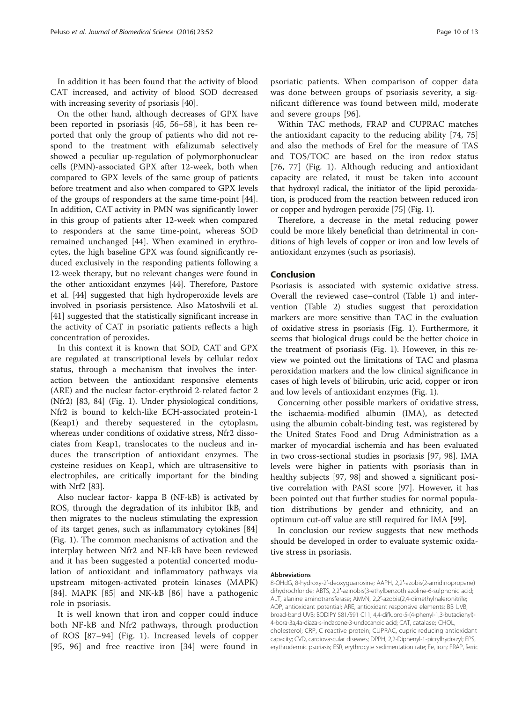In addition it has been found that the activity of blood CAT increased, and activity of blood SOD decreased with increasing severity of psoriasis [[40\]](#page-11-0).

On the other hand, although decreases of GPX have been reported in psoriasis [[45, 56](#page-11-0)–[58\]](#page-11-0), it has been reported that only the group of patients who did not respond to the treatment with efalizumab selectively showed a peculiar up-regulation of polymorphonuclear cells (PMN)-associated GPX after 12-week, both when compared to GPX levels of the same group of patients before treatment and also when compared to GPX levels of the groups of responders at the same time-point [\[44](#page-11-0)]. In addition, CAT activity in PMN was significantly lower in this group of patients after 12-week when compared to responders at the same time-point, whereas SOD remained unchanged [[44\]](#page-11-0). When examined in erythrocytes, the high baseline GPX was found significantly reduced exclusively in the responding patients following a 12-week therapy, but no relevant changes were found in the other antioxidant enzymes [[44\]](#page-11-0). Therefore, Pastore et al. [[44\]](#page-11-0) suggested that high hydroperoxide levels are involved in psoriasis persistence. Also Matoshvili et al. [[41\]](#page-11-0) suggested that the statistically significant increase in the activity of CAT in psoriatic patients reflects a high concentration of peroxides.

In this context it is known that SOD, CAT and GPX are regulated at transcriptional levels by cellular redox status, through a mechanism that involves the interaction between the antioxidant responsive elements (ARE) and the nuclear factor-erythroid 2-related factor 2 (Nfr2) [\[83](#page-12-0), [84](#page-12-0)] (Fig. [1](#page-6-0)). Under physiological conditions, Nfr2 is bound to kelch-like ECH-associated protein-1 (Keap1) and thereby sequestered in the cytoplasm, whereas under conditions of oxidative stress, Nfr2 dissociates from Keap1, translocates to the nucleus and induces the transcription of antioxidant enzymes. The cysteine residues on Keap1, which are ultrasensitive to electrophiles, are critically important for the binding with Nrf2 [[83](#page-12-0)].

Also nuclear factor- kappa B (NF-kB) is activated by ROS, through the degradation of its inhibitor IkB, and then migrates to the nucleus stimulating the expression of its target genes, such as inflammatory cytokines [[84](#page-12-0)] (Fig. [1\)](#page-6-0). The common mechanisms of activation and the interplay between Nfr2 and NF-kB have been reviewed and it has been suggested a potential concerted modulation of antioxidant and inflammatory pathways via upstream mitogen-activated protein kinases (MAPK) [[84\]](#page-12-0). MAPK [[85\]](#page-12-0) and NK-kB [\[86](#page-12-0)] have a pathogenic role in psoriasis.

It is well known that iron and copper could induce both NF-kB and Nfr2 pathways, through production of ROS [\[87](#page-12-0)–[94\]](#page-12-0) (Fig. [1](#page-6-0)). Increased levels of copper [[95](#page-12-0), [96\]](#page-12-0) and free reactive iron [\[34\]](#page-11-0) were found in

psoriatic patients. When comparison of copper data was done between groups of psoriasis severity, a significant difference was found between mild, moderate and severe groups [[96\]](#page-12-0).

Within TAC methods, FRAP and CUPRAC matches the antioxidant capacity to the reducing ability [[74](#page-11-0), [75](#page-12-0)] and also the methods of Erel for the measure of TAS and TOS/TOC are based on the iron redox status [[76, 77\]](#page-12-0) (Fig. [1](#page-6-0)). Although reducing and antioxidant capacity are related, it must be taken into account that hydroxyl radical, the initiator of the lipid peroxidation, is produced from the reaction between reduced iron or copper and hydrogen peroxide [\[75\]](#page-12-0) (Fig. [1](#page-6-0)).

Therefore, a decrease in the metal reducing power could be more likely beneficial than detrimental in conditions of high levels of copper or iron and low levels of antioxidant enzymes (such as psoriasis).

## Conclusion

Psoriasis is associated with systemic oxidative stress. Overall the reviewed case–control (Table [1\)](#page-2-0) and intervention (Table [2](#page-5-0)) studies suggest that peroxidation markers are more sensitive than TAC in the evaluation of oxidative stress in psoriasis (Fig. [1](#page-6-0)). Furthermore, it seems that biological drugs could be the better choice in the treatment of psoriasis (Fig. [1](#page-6-0)). However, in this review we pointed out the limitations of TAC and plasma peroxidation markers and the low clinical significance in cases of high levels of bilirubin, uric acid, copper or iron and low levels of antioxidant enzymes (Fig. [1\)](#page-6-0).

Concerning other possible markers of oxidative stress, the ischaemia-modified albumin (IMA), as detected using the albumin cobalt-binding test, was registered by the United States Food and Drug Administration as a marker of myocardial ischemia and has been evaluated in two cross-sectional studies in psoriasis [[97](#page-12-0), [98](#page-12-0)]. IMA levels were higher in patients with psoriasis than in healthy subjects [[97, 98\]](#page-12-0) and showed a significant positive correlation with PASI score [\[97](#page-12-0)]. However, it has been pointed out that further studies for normal population distributions by gender and ethnicity, and an optimum cut-off value are still required for IMA [\[99](#page-12-0)].

In conclusion our review suggests that new methods should be developed in order to evaluate systemic oxidative stress in psoriasis.

#### Abbreviations

8-OHdG, 8-hydroxy-2'-deoxyguanosine; AAPH, 2,2′-azobis(2-amidinopropane) dihydrochloride; ABTS, 2,2′-azinobis(3-ethylbenzothiazoline-6-sulphonic acid; ALT, alanine aminotransferase; AMVN, 2,2′-azobis(2,4-dimethylnaleronitrile; AOP, antioxidant potential; ARE, antioxidant responsive elements; BB UVB, broad-band UVB; BODIPY 581/591 C11, 4,4-difluoro-5-(4-phenyl-1,3-butadienyl)- 4-bora-3a,4a-diaza-s-indacene-3-undecanoic acid; CAT, catalase; CHOL, cholesterol; CRP, C reactive protein; CUPRAC, cupric reducing antioxidant capacity; CVD, cardiovascular diseases; DPPH, 2,2-Diphenyl-1-picrylhydrazyl; EPS, erythrodermic psoriasis; ESR, erythrocyte sedimentation rate; Fe, iron; FRAP, ferric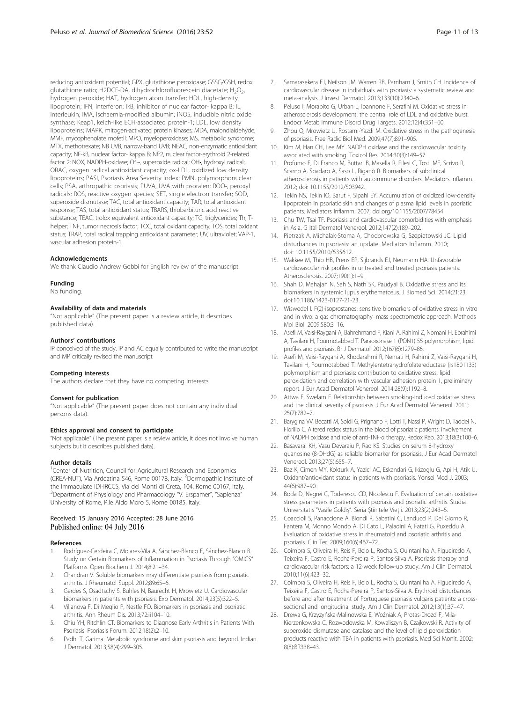<span id="page-10-0"></span>reducing antioxidant potential; GPX, glutathione peroxidase; GSSG/GSH, redox glutathione ratio; H2DCF-DA, dihydrochlorofluorescein diacetate;  $H_2O_2$ , hydrogen peroxide; HAT, hydrogen atom transfer; HDL, high-density lipoprotein; IFN, interferon; IkB, inhibitor of nuclear factor- kappa B; IL, interleukin; IMA, ischaemia-modified albumin; iNOS, inducible nitric oxide synthase; Keap1, kelch-like ECH-associated protein-1; LDL, low density lipoproteins; MAPK, mitogen-activated protein kinases; MDA, malondialdehyde; MMF, mycophenolate mofetil; MPO, myeloperoxidase; MS, metabolic syndrome; MTX, methotrexate; NB UVB, narrow-band UVB; NEAC, non-enzymatic antioxidant capacity; NF-kB, nuclear factor- kappa B; Nfr2, nuclear factor-erythroid 2-related factor 2; NOX, NADPH-oxidase; O<sup>2</sup>-•, superoxide radical; OH•, hydroxyl radical; ORAC, oxygen radical antioxidant capacity; ox-LDL, oxidized low density lipoproteins; PASI, Psoriasis Area Severity Index; PMN, polymorphonuclear cells; PSA, arthropathic psoriasis; PUVA, UVA with psoralen; ROO•, peroxyl radicals; ROS, reactive oxygen species; SET, single electron transfer; SOD, superoxide dismutase; TAC, total antioxidant capacity; TAR, total antioxidant response; TAS, total antioxidant status; TBARS, thiobarbituric acid reactive substance; TEAC, trolox equivalent antioxidant capacity; TG, triglycerides; Th, Thelper; TNF, tumor necrosis factor; TOC, total oxidant capacity; TOS, total oxidant status; TRAP, total radical trapping antioxidant parameter; UV, ultraviolet; VAP-1, vascular adhesion protein-1

#### Acknowledgements

We thank Claudio Andrew Gobbi for English review of the manuscript.

#### Funding

No funding.

#### Availability of data and materials

"Not applicable" (The present paper is a review article, it describes published data).

#### Authors' contributions

IP conceived of the study. IP and AC equally contributed to write the manuscript and MP critically revised the manuscript.

#### Competing interests

The authors declare that they have no competing interests.

#### Consent for publication

"Not applicable" (The present paper does not contain any individual persons data).

## Ethics approval and consent to participate

"Not applicable" (The present paper is a review article, it does not involve human subjects but it describes published data).

#### Author details

<sup>1</sup>Center of Nutrition, Council for Agricultural Research and Economics (CREA-NUT), Via Ardeatina 546, Rome 00178, Italy. <sup>2</sup>Dermopathic Institute of the Immaculate IDI-IRCCS, Via dei Monti di Creta, 104, Rome 00167, Italy. <sup>3</sup>Department of Physiology and Pharmacology "V. Erspamer", "Sapienza" University of Rome, P.le Aldo Moro 5, Rome 00185, Italy.

#### Received: 15 January 2016 Accepted: 28 June 2016 Published online: 04 July 2016

#### References

- 1. Rodríguez-Cerdeira C, Molares-Vila A, Sánchez-Blanco E, Sánchez-Blanco B. Study on Certain Biomarkers of Inflammation in Psoriasis Through "OMICS" Platforms. Open Biochem J. 2014;8:21–34.
- 2. Chandran V. Soluble biomarkers may differentiate psoriasis from psoriatic arthritis. J Rheumatol Suppl. 2012;89:65–6.
- 3. Gerdes S, Osadtschy S, Buhles N, Baurecht H, Mrowietz U. Cardiovascular biomarkers in patients with psoriasis. Exp Dermatol. 2014;23(5):322–5.
- 4. Villanova F, Di Meglio P, Nestle FO. Biomarkers in psoriasis and psoriatic arthritis. Ann Rheum Dis. 2013;72:ii104–10.
- 5. Chiu YH, Ritchlin CT. Biomarkers to Diagnose Early Arthritis in Patients With Psoriasis. Psoriasis Forum. 2012;18(2):2–10.
- 6. Padhi T, Garima. Metabolic syndrome and skin: psoriasis and beyond. Indian J Dermatol. 2013;58(4):299–305.
- 7. Samarasekera EJ, Neilson JM, Warren RB, Parnham J, Smith CH. Incidence of cardiovascular disease in individuals with psoriasis: a systematic review and meta-analysis. J Invest Dermatol. 2013;133(10):2340–6.
- Peluso I, Morabito G, Urban L, Ioannone F, Serafini M. Oxidative stress in atherosclerosis development: the central role of LDL and oxidative burst. Endocr Metab Immune Disord Drug Targets. 2012;12(4):351–60.
- 9. Zhou Q, Mrowietz U, Rostami-Yazdi M. Oxidative stress in the pathogenesis of psoriasis. Free Radic Biol Med. 2009;47(7):891–905.
- 10. Kim M, Han CH, Lee MY. NADPH oxidase and the cardiovascular toxicity associated with smoking. Toxicol Res. 2014;30(3):149–57.
- 11. Profumo E, Di Franco M, Buttari B, Masella R, Filesi C, Tosti ME, Scrivo R, Scarno A, Spadaro A, Saso L, Riganò R. Biomarkers of subclinical atherosclerosis in patients with autoimmune disorders. Mediators Inflamm. 2012; doi: [10.1155/2012/503942.](http://dx.doi.org/10.1155/2012/503942)
- 12. Tekin NS, Tekin IO, Barut F, Sipahi EY. Accumulation of oxidized low-density lipoprotein in psoriatic skin and changes of plasma lipid levels in psoriatic patients. Mediators Inflamm. 2007; doi.org/[10.1155/2007/78454](http://dx.doi.org/10.1155/2007/78454)
- 13. Chu TW, Tsai TF. Psoriasis and cardiovascular comorbidities with emphasis in Asia. G Ital Dermatol Venereol. 2012;147(2):189–202.
- 14. Pietrzak A, Michalak-Stoma A, Chodorowska G, Szepietowski JC. Lipid disturbances in psoriasis: an update. Mediators Inflamm. 2010; doi: [10.1155/2010/535612](http://dx.doi.org/10.1155/2010/535612).
- 15. Wakkee M, Thio HB, Prens EP, Sijbrands EJ, Neumann HA. Unfavorable cardiovascular risk profiles in untreated and treated psoriasis patients. Atherosclerosis. 2007;190(1):1–9.
- 16. Shah D, Mahajan N, Sah S, Nath SK, Paudyal B. Oxidative stress and its biomarkers in systemic lupus erythematosus. J Biomed Sci. 2014;21:23. doi[:10.1186/1423-0127-21-23.](http://dx.doi.org/10.1186/1423-0127-21-23)
- 17. Wiswedel I. F(2)-isoprostanes: sensitive biomarkers of oxidative stress in vitro and in vivo: a gas chromatography–mass spectrometric approach. Methods Mol Biol. 2009;580:3–16.
- 18. Asefi M, Vaisi-Raygani A, Bahrehmand F, Kiani A, Rahimi Z, Nomani H, Ebrahimi A, Tavilani H, Pourmotabbed T. Paraoxonase 1 (PON1) 55 polymorphism, lipid profiles and psoriasis. Br J Dermatol. 2012;167(6):1279–86.
- 19. Asefi M, Vaisi-Raygani A, Khodarahmi R, Nemati H, Rahimi Z, Vaisi-Raygani H, Tavilani H, Pourmotabbed T. Methylentetrahydrofolatereductase (rs1801133) polymorphism and psoriasis: contribution to oxidative stress, lipid peroxidation and correlation with vascular adhesion protein 1, preliminary report. J Eur Acad Dermatol Venereol. 2014;28(9):1192–8.
- 20. Attwa E, Swelam E. Relationship between smoking-induced oxidative stress and the clinical severity of psoriasis. J Eur Acad Dermatol Venereol. 2011; 25(7):782–7.
- 21. Barygina VV, Becatti M, Soldi G, Prignano F, Lotti T, Nassi P, Wright D, Taddei N, Fiorillo C. Altered redox status in the blood of psoriatic patients: involvement of NADPH oxidase and role of anti-TNF-α therapy. Redox Rep. 2013;18(3):100–6.
- 22. Basavaraj KH, Vasu Devaraju P, Rao KS. Studies on serum 8-hydroxy guanosine (8-OHdG) as reliable biomarker for psoriasis. J Eur Acad Dermatol Venereol. 2013;27(5):655–7.
- 23. Baz K, Cimen MY, Kokturk A, Yazici AC, Eskandari G, Ikizoglu G, Api H, Atik U. Oxidant/antioxidant status in patients with psoriasis. Yonsei Med J. 2003; 44(6):987–90.
- 24. Boda D, Negrei C, Toderescu CD, Nicolescu F. Evaluation of certain oxidative stress parameters in patients with psoriasis and psoriatic arthritis. Studia Universitatis "Vasile Goldiş". Seria Ştiinţele Vieţii. 2013;23(2):243–5.
- 25. Coaccioli S, Panaccione A, Biondi R, Sabatini C, Landucci P, Del Giorno R, Fantera M, Monno Mondo A, Di Cato L, Paladini A, Fatati G, Puxeddu A. Evaluation of oxidative stress in rheumatoid and psoriatic arthritis and psoriasis. Clin Ter. 2009;160(6):467–72.
- 26. Coimbra S, Oliveira H, Reis F, Belo L, Rocha S, Quintanilha A, Figueiredo A, Teixeira F, Castro E, Rocha-Pereira P, Santos-Silva A. Psoriasis therapy and cardiovascular risk factors: a 12-week follow-up study. Am J Clin Dermatol. 2010;11(6):423–32.
- 27. Coimbra S, Oliveira H, Reis F, Belo L, Rocha S, Quintanilha A, Figueiredo A, Teixeira F, Castro E, Rocha-Pereira P, Santos-Silva A. Erythroid disturbances before and after treatment of Portuguese psoriasis vulgaris patients: a crosssectional and longitudinal study. Am J Clin Dermatol. 2012;13(1):37–47.
- 28. Drewa G, Krzyzyńska-Malinowska E, Woźniak A, Protas-Drozd F, Mila-Kierzenkowska C, Rozwodowska M, Kowaliszyn B, Czajkowski R. Activity of superoxide dismutase and catalase and the level of lipid peroxidation products reactive with TBA in patients with psoriasis. Med Sci Monit. 2002; 8(8):BR338–43.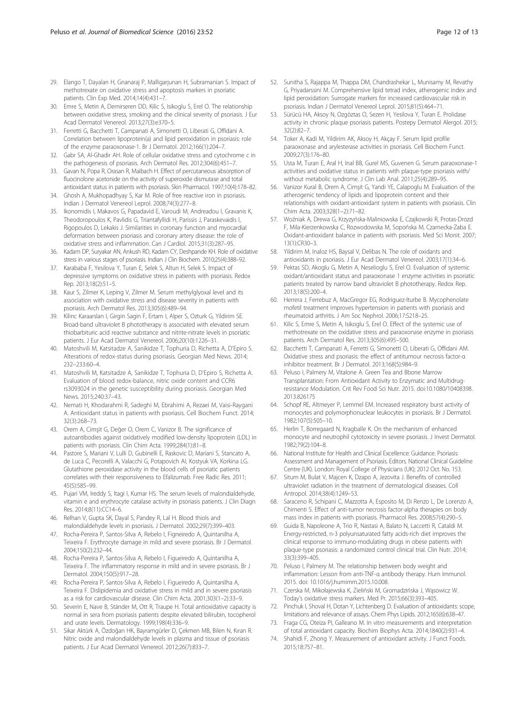- <span id="page-11-0"></span>29. Elango T, Dayalan H, Gnanaraj P, Malligarjunan H, Subramanian S. Impact of methotrexate on oxidative stress and apoptosis markers in psoriatic patients. Clin Exp Med. 2014;14(4):431–7.
- 30. Emre S, Metin A, Demirseren DD, Kilic S, Isikoglu S, Erel O. The relationship between oxidative stress, smoking and the clinical severity of psoriasis. J Eur Acad Dermatol Venereol. 2013;27(3):e370–5.
- 31. Ferretti G, Bacchetti T, Campanati A, Simonetti O, Liberati G, Offidani A. Correlation between lipoprotein(a) and lipid peroxidation in psoriasis: role of the enzyme paraoxonase-1. Br J Dermatol. 2012;166(1):204–7.
- 32. Gabr SA, Al-Ghadir AH. Role of cellular oxidative stress and cytochrome c in the pathogenesis of psoriasis. Arch Dermatol Res. 2012;304(6):451–7.
- 33. Gavan N, Popa R, Orasan R, Maibach H. Effect of percutaneous absorption of fluocinolone acetonide on the activity of superoxide dismutase and total antioxidant status in patients with psoriasis. Skin Pharmacol. 1997;10(4):178–82.
- 34. Ghosh A, Mukhopadhyay S, Kar M. Role of free reactive iron in psoriasis. Indian J Dermatol Venereol Leprol. 2008;74(3):277–8.
- 35. Ikonomidis I, Makavos G, Papadavid E, Varoudi M, Andreadou I, Gravanis K, Theodoropoulos K, Pavlidis G, Triantafyllidi H, Parissis J, Paraskevaidis I, Rigopoulos D, Lekakis J. Similarities in coronary function and myocardial deformation between psoriasis and coronary artery disease: the role of oxidative stress and inflammation. Can J Cardiol. 2015;31(3):287–95.
- 36. Kadam DP, Suryakar AN, Ankush RD, Kadam CY, Deshpande KH. Role of oxidative stress in various stages of psoriasis. Indian J Clin Biochem. 2010;25(4):388–92.
- 37. Karababa F, Yesilova Y, Turan E, Selek S, Altun H, Selek S. Impact of depressive symptoms on oxidative stress in patients with psoriasis. Redox Rep. 2013;18(2):51–5.
- 38. Kaur S, Zilmer K, Leping V, Zilmer M. Serum methylglyoxal level and its association with oxidative stress and disease severity in patients with psoriasis. Arch Dermatol Res. 2013;305(6):489–94.
- 39. Kilinc Karaarslan I, Girgin Sagin F, Ertam I, Alper S, Ozturk G, Yildirim SE. Broad-band ultraviolet B phototherapy is associated with elevated serum thiobarbituric acid reactive substance and nitrite-nitrate levels in psoriatic patients. J Eur Acad Dermatol Venereol. 2006;20(10):1226–31.
- 40. Matoshvili M, Katsitadze A, Sanikidze T, Tophuria D, Richetta A, D'Epiro S. Alterations of redox-status during psoriasis. Georgian Med News. 2014; 232–233:60–4.
- 41. Matoshvili M, Katsitadze A, Sanikidze T, Tophuria D, D'Epiro S, Richetta A. Evaluation of blood redox-balance, nitric oxide content and CCR6 rs3093024 in the genetic susceptibility during psoriasis. Georgian Med News. 2015;240:37–43.
- 42. Nemati H, Khodarahmi R, Sadeghi M, Ebrahimi A, Rezaei M, Vaisi-Raygani A. Antioxidant status in patients with psoriasis. Cell Biochem Funct. 2014; 32(3):268–73.
- 43. Orem A, Cimşit G, Değer O, Orem C, Vanizor B. The significance of autoantibodies against oxidatively modified low-density lipoprotein (LDL) in patients with psoriasis. Clin Chim Acta. 1999;284(1):81–8.
- 44. Pastore S, Mariani V, Lulli D, Gubinelli E, Raskovic D, Mariani S, Stancato A, de Luca C, Pecorelli A, Valacchi G, Potapovich AI, Kostyuk VA, Korkina LG. Glutathione peroxidase activity in the blood cells of psoriatic patients correlates with their responsiveness to Efalizumab. Free Radic Res. 2011; 45(5):585–99.
- 45. Pujari VM, Ireddy S, Itagi I, Kumar HS. The serum levels of malondialdehyde, vitamin e and erythrocyte catalase activity in psoriasis patients. J Clin Diagn Res. 2014;8(11):CC14–6.
- 46. Relhan V, Gupta SK, Dayal S, Pandey R, Lal H. Blood thiols and malondialdehyde levels in psoriasis. J Dermatol. 2002;29(7):399–403.
- 47. Rocha-Pereira P, Santos-Silva A, Rebelo I, Figneiredo A, Quintanilha A, Teixeira F. Erythrocyte damage in mild and severe psoriasis. Br J Dermatol. 2004;150(2):232–44.
- 48. Rocha-Pereira P, Santos-Silva A, Rebelo I, Figueiredo A, Quintanilha A, Teixeira F. The inflammatory response in mild and in severe psoriasis. Br J Dermatol. 2004;150(5):917–28.
- 49. Rocha-Pereira P, Santos-Silva A, Rebelo I, Figueiredo A, Quintanilha A, Teixeira F. Dislipidemia and oxidative stress in mild and in severe psoriasis as a risk for cardiovascular disease. Clin Chim Acta. 2001;303(1–2):33–9.
- 50. Severin E, Nave B, Ständer M, Ott R, Traupe H. Total antioxidative capacity is normal in sera from psoriasis patients despite elevated bilirubin, tocopherol and urate levels. Dermatology. 1999;198(4):336–9.
- 51. Sikar Aktürk A, Özdoğan HK, Bayramgürler D, Çekmen MB, Bilen N, Kıran R. Nitric oxide and malondialdehyde levels in plasma and tissue of psoriasis patients. J Eur Acad Dermatol Venereol. 2012;26(7):833–7.
- 52. Sunitha S, Rajappa M, Thappa DM, Chandrashekar L, Munisamy M, Revathy G, Priyadarssini M. Comprehensive lipid tetrad index, atherogenic index and lipid peroxidation: Surrogate markers for increased cardiovascular risk in psoriasis. Indian J Dermatol Venereol Leprol. 2015;81(5):464–71.
- 53. Sürücü HA, Aksoy N, Ozgöztas O, Sezen H, Yesilova Y, Turan E. Prolidase activity in chronic plaque psoriasis patients. Postepy Dermatol Alergol. 2015; 32(2):82–7.
- 54. Toker A, Kadi M, Yildirim AK, Aksoy H, Akçay F. Serum lipid profile paraoxonase and arylesterase activities in psoriasis. Cell Biochem Funct. 2009;27(3):176–80.
- 55. Usta M, Turan E, Aral H, Inal BB, Gurel MS, Guvenen G. Serum paraoxonase-1 activities and oxidative status in patients with plaque-type psoriasis with/ without metabolic syndrome. J Clin Lab Anal. 2011;25(4):289–95.
- 56. Vanizor Kural B, Orem A, Cimşit G, Yandi YE, Calapoglu M. Evaluation of the atherogenic tendency of lipids and lipoprotein content and their relationships with oxidant-antioxidant system in patients with psoriasis. Clin Chim Acta. 2003;328(1–2):71–82.
- 57. Woźniak A, Drewa G, Krzyzyńska-Maliniowska E, Czajkowski R, Protas-Drozd F, Mila-Kierzenkowska C, Rozwodowska M, Sopońska M, Czarnecka-Zaba E. Oxidant-antioxidant balance in patients with psoriasis. Med Sci Monit. 2007; 13(1):CR30–3.
- 58. Yildirim M, Inaloz HS, Baysal V, Delibas N. The role of oxidants and antioxidants in psoriasis. J Eur Acad Dermatol Venereol. 2003;17(1):34–6.
- 59. Pektas SD, Akoglu G, Metin A, Neselioglu S, Erel O. Evaluation of systemic oxidant/antioxidant status and paraoxonase 1 enzyme activities in psoriatic patients treated by narrow band ultraviolet B phototherapy. Redox Rep. 2013;18(5):200–4.
- 60. Herrera J, Ferrebuz A, MacGregor EG, Rodriguez-Iturbe B. Mycophenolate mofetil treatment improves hypertension in patients with psoriasis and rheumatoid arthritis. J Am Soc Nephrol. 2006;17:S218–25.
- 61. Kilic S, Emre S, Metin A, Isikoglu S, Erel O. Effect of the systemic use of methotrexate on the oxidative stress and paraoxonase enzyme in psoriasis patients. Arch Dermatol Res. 2013;305(6):495–500.
- 62. Bacchetti T, Campanati A, Ferretti G, Simonetti O, Liberati G, Offidani AM. Oxidative stress and psoriasis: the effect of antitumour necrosis factor-α inhibitor treatment. Br J Dermatol. 2013;168(5):984–9.
- 63. Peluso I, Palmery M, Vitalone A. Green Tea and Bbone Marrow Transplantation: From Antioxidant Activity to Enzymatic and Multidrugresistance Modulation. Crit Rev Food Sci Nutr. 2015. doi:[10.1080/10408398.](http://dx.doi.org/10.1080/10408398.2013.826175) [2013.826175](http://dx.doi.org/10.1080/10408398.2013.826175)
- 64. Schopf RE, Altmeyer P, Lemmel EM. Increased respiratory burst activity of monocytes and polymorphonuclear leukocytes in psoriasis. Br J Dermatol. 1982;107(5):505–10.
- 65. Herlin T, Borregaard N, Kragballe K. On the mechanism of enhanced monocyte and neutrophil cytotoxicity in severe psoriasis. J Invest Dermatol. 1982;79(2):104–8.
- 66. National Institute for Health and Clinical Excellence: Guidance. Psoriasis: Assessment and Management of Psoriasis. Editors. National Clinical Guideline Centre (UK). London: Royal College of Physicians (UK); 2012 Oct. No. 153.
- 67. Situm M, Bulat V, Majcen K, Dzapo A, Jezovita J. Benefits of controlled ultraviolet radiation in the treatment of dermatological diseases. Coll Antropol. 2014;38(4):1249–53.
- 68. Saraceno R, Schipani C, Mazzotta A, Esposito M, Di Renzo L, De Lorenzo A, Chimenti S. Effect of anti-tumor necrosis factor-alpha therapies on body mass index in patients with psoriasis. Pharmacol Res. 2008;57(4):290–5.
- 69. Guida B, Napoleone A, Trio R, Nastasi A, Balato N, Laccetti R, Cataldi M. Energy-restricted, n-3 polyunsaturated fatty acids-rich diet improves the clinical response to immuno-modulating drugs in obese patients with plaque-type psoriasis: a randomized control clinical trial. Clin Nutr. 2014; 33(3):399–405.
- 70. Peluso I, Palmery M. The relationship between body weight and inflammation: Lesson from anti-TNF-α antibody therapy. Hum Immunol. 2015. doi: [10.1016/j.humimm.2015.10.008.](http://dx.doi.org/10.1016/j.humimm.2015.10.008)
- 71. Czerska M, Mikołajewska K, Zieliński M, Gromadzińska J, Wąsowicz W. Today's oxidative stress markers. Med Pr. 2015;66(3):393–405.
- 72. Pinchuk I, Shoval H, Dotan Y, Lichtenberg D. Evaluation of antioxidants: scope, limitations and relevance of assays. Chem Phys Lipids. 2012;165(6):638–47.
- 73. Fraga CG, Oteiza PI, Galleano M. In vitro measurements and interpretation of total antioxidant capacity. Biochim Biophys Acta. 2014;1840(2):931–4.
- 74. Shahidi F, Zhong Y. Measurement of antioxidant activity. J Funct Foods. 2015;18:757–81.